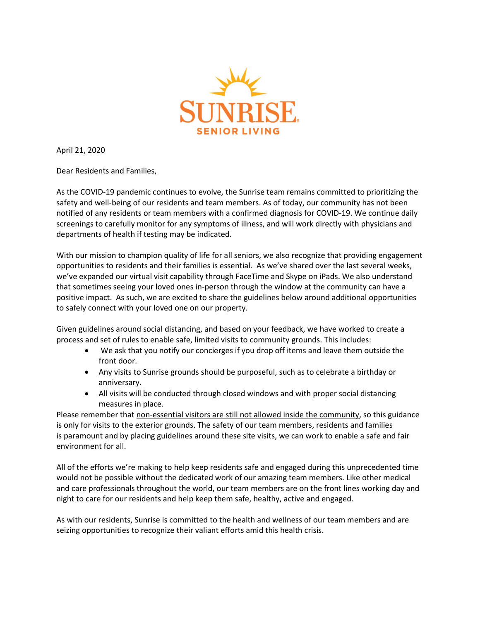

April 21, 2020

Dear Residents and Families,

As the COVID-19 pandemic continues to evolve, the Sunrise team remains committed to prioritizing the safety and well-being of our residents and team members. As of today, our community has not been notified of any residents or team members with a confirmed diagnosis for COVID-19. We continue daily screenings to carefully monitor for any symptoms of illness, and will work directly with physicians and departments of health if testing may be indicated.

With our mission to champion quality of life for all seniors, we also recognize that providing engagement opportunities to residents and their families is essential. As we've shared over the last several weeks, we've expanded our virtual visit capability through FaceTime and Skype on iPads. We also understand that sometimes seeing your loved ones in-person through the window at the community can have a positive impact. As such, we are excited to share the guidelines below around additional opportunities to safely connect with your loved one on our property.

Given guidelines around social distancing, and based on your feedback, we have worked to create a process and set of rules to enable safe, limited visits to community grounds. This includes:

- We ask that you notify our concierges if you drop off items and leave them outside the front door.
- Any visits to Sunrise grounds should be purposeful, such as to celebrate a birthday or anniversary.
- All visits will be conducted through closed windows and with proper social distancing measures in place.

Please remember that non-essential visitors are still not allowed inside the community, so this guidance is only for visits to the exterior grounds. The safety of our team members, residents and families is paramount and by placing guidelines around these site visits, we can work to enable a safe and fair environment for all.

All of the efforts we're making to help keep residents safe and engaged during this unprecedented time would not be possible without the dedicated work of our amazing team members. Like other medical and care professionals throughout the world, our team members are on the front lines working day and night to care for our residents and help keep them safe, healthy, active and engaged.

As with our residents, Sunrise is committed to the health and wellness of our team members and are seizing opportunities to recognize their valiant efforts amid this health crisis.